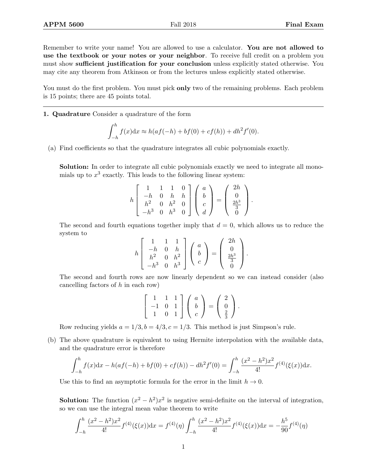Remember to write your name! You are allowed to use a calculator. You are not allowed to use the textbook or your notes or your neighbor. To receive full credit on a problem you must show sufficient justification for your conclusion unless explicitly stated otherwise. You may cite any theorem from Atkinson or from the lectures unless explicitly stated otherwise.

You must do the first problem. You must pick only two of the remaining problems. Each problem is 15 points; there are 45 points total.

1. Quadrature Consider a quadrature of the form

$$
\int_{-h}^{h} f(x) dx \approx h(af(-h) + bf(0) + cf(h)) + dh^{2}f'(0).
$$

(a) Find coefficients so that the quadrature integrates all cubic polynomials exactly.

Solution: In order to integrate all cubic polynomials exactly we need to integrate all monomials up to  $x^3$  exactly. This leads to the following linear system:

$$
h\begin{bmatrix} 1 & 1 & 1 & 0 \\ -h & 0 & h & h \\ h^2 & 0 & h^2 & 0 \\ -h^3 & 0 & h^3 & 0 \end{bmatrix} \begin{pmatrix} a \\ b \\ c \\ d \end{pmatrix} = \begin{pmatrix} 2h \\ 0 \\ \frac{2h^3}{3} \\ 0 \end{pmatrix}.
$$

The second and fourth equations together imply that  $d = 0$ , which allows us to reduce the system to

$$
h\begin{bmatrix} 1 & 1 & 1 \ -h & 0 & h \ h^2 & 0 & h^2 \ -h^3 & 0 & h^3 \end{bmatrix} \begin{pmatrix} a \\ b \\ c \end{pmatrix} = \begin{pmatrix} 2h \\ 0 \\ \frac{2h^3}{3} \\ 0 \end{pmatrix}.
$$

The second and fourth rows are now linearly dependent so we can instead consider (also cancelling factors of  $h$  in each row)

$$
\left[\begin{array}{rrr}1 & 1 & 1\\-1 & 0 & 1\\1 & 0 & 1\end{array}\right]\left(\begin{array}{c}a\\b\\c\end{array}\right)=\left(\begin{array}{c}2\\0\\ \frac{2}{3}\end{array}\right).
$$

Row reducing yields  $a = 1/3$ ,  $b = 4/3$ ,  $c = 1/3$ . This method is just Simpson's rule.

(b) The above quadrature is equivalent to using Hermite interpolation with the available data, and the quadrature error is therefore

$$
\int_{-h}^{h} f(x)dx - h(af(-h) + bf(0) + cf(h)) - dh^2f'(0) = \int_{-h}^{h} \frac{(x^2 - h^2)x^2}{4!} f^{(4)}(\xi(x))dx.
$$

Use this to find an asymptotic formula for the error in the limit  $h \to 0$ .

**Solution:** The function  $(x^2 - h^2)x^2$  is negative semi-definite on the interval of integration, so we can use the integral mean value theorem to write

$$
\int_{-h}^{h} \frac{(x^2 - h^2)x^2}{4!} f^{(4)}(\xi(x)) dx = f^{(4)}(\eta) \int_{-h}^{h} \frac{(x^2 - h^2)x^2}{4!} f^{(4)}(\xi(x)) dx = -\frac{h^5}{90} f^{(4)}(\eta)
$$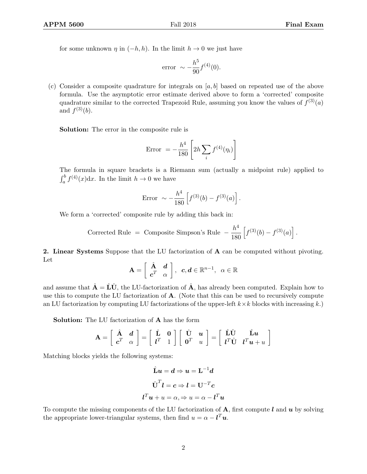for some unknown  $\eta$  in  $(-h, h)$ . In the limit  $h \to 0$  we just have

error 
$$
\sim -\frac{h^5}{90} f^{(4)}(0)
$$
.

(c) Consider a composite quadrature for integrals on  $[a, b]$  based on repeated use of the above formula. Use the asymptotic error estimate derived above to form a 'corrected' composite quadrature similar to the corrected Trapezoid Rule, assuming you know the values of  $f^{(3)}(a)$ and  $f^{(3)}(b)$ .

Solution: The error in the composite rule is

$$
Error = -\frac{h^4}{180} \left[ 2h \sum_i f^{(4)}(\eta_i) \right]
$$

The formula in square brackets is a Riemann sum (actually a midpoint rule) applied to  $\int_a^b f^{(4)}(x) dx$ . In the limit  $h \to 0$  we have

Error 
$$
\sim -\frac{h^4}{180} \left[ f^{(3)}(b) - f^{(3)}(a) \right].
$$

We form a 'corrected' composite rule by adding this back in:

Corrected Rule = Composite Simpson's Rule 
$$
-\frac{h^4}{180} \left[ f^{(3)}(b) - f^{(3)}(a) \right]
$$
.

2. Linear Systems Suppose that the LU factorization of A can be computed without pivoting. Let

$$
\mathbf{A} = \left[ \begin{array}{cc} \hat{\mathbf{A}} & \mathbf{d} \\ \mathbf{c}^T & \alpha \end{array} \right], \ \ \mathbf{c}, \mathbf{d} \in \mathbb{R}^{n-1}, \ \ \alpha \in \mathbb{R}
$$

and assume that  $\hat{\mathbf{A}} = \hat{\mathbf{L}}\hat{\mathbf{U}}$ , the LU-factorization of  $\hat{\mathbf{A}}$ , has already been computed. Explain how to use this to compute the LU factorization of A. (Note that this can be used to recursively compute an LU factorization by computing LU factorizations of the upper-left  $k \times k$  blocks with increasing k.)

Solution: The LU factorization of A has the form

$$
\mathbf{A} = \begin{bmatrix} \hat{\mathbf{A}} & \mathbf{d} \\ \mathbf{c}^T & \alpha \end{bmatrix} = \begin{bmatrix} \hat{\mathbf{L}} & \mathbf{0} \\ l^T & 1 \end{bmatrix} \begin{bmatrix} \hat{\mathbf{U}} & \mathbf{u} \\ \mathbf{0}^T & u \end{bmatrix} = \begin{bmatrix} \hat{\mathbf{L}} \hat{\mathbf{U}} & \hat{\mathbf{L}} \mathbf{u} \\ l^T \hat{\mathbf{U}} & l^T \mathbf{u} + u \end{bmatrix}
$$

Matching blocks yields the following systems:

$$
\hat{\mathbf{L}}\boldsymbol{u} = \boldsymbol{d} \Rightarrow \boldsymbol{u} = \mathbf{L}^{-1}\boldsymbol{d}
$$

$$
\hat{\mathbf{U}}^{T}\boldsymbol{l} = \boldsymbol{c} \Rightarrow \boldsymbol{l} = \mathbf{U}^{-T}\boldsymbol{c}
$$

$$
\boldsymbol{l}^{T}\boldsymbol{u} + \boldsymbol{u} = \alpha, \Rightarrow \boldsymbol{u} = \alpha - \boldsymbol{l}^{T}\boldsymbol{u}
$$

To compute the missing components of the LU factorization of  $A$ , first compute  $l$  and  $u$  by solving the appropriate lower-triangular systems, then find  $u = \alpha - \ell^T u$ .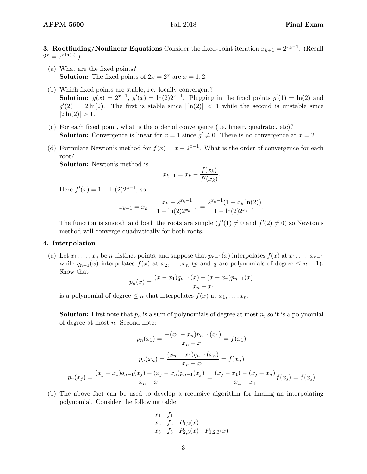**3. Rootfinding/Nonlinear Equations** Consider the fixed-point iteration  $x_{k+1} = 2^{x_k-1}$ . (Recall  $2^x = e^{x \ln(2)}$ .

- (a) What are the fixed points? **Solution:** The fixed points of  $2x = 2^x$  are  $x = 1, 2$ .
- (b) Which fixed points are stable, i.e. locally convergent? **Solution:**  $g(x) = 2^{x-1}$ ,  $g'(x) = \ln(2)2^{x-1}$ . Plugging in the fixed points  $g'(1) = \ln(2)$  and  $g'(2) = 2\ln(2)$ . The first is stable since  $|\ln(2)| < 1$  while the second is unstable since  $|2 \ln(2)| > 1.$
- (c) For each fixed point, what is the order of convergence (i.e. linear, quadratic, etc)? **Solution:** Convergence is linear for  $x = 1$  since  $g' \neq 0$ . There is no convergence at  $x = 2$ .
- (d) Formulate Newton's method for  $f(x) = x 2^{x-1}$ . What is the order of convergence for each root?

Solution: Newton's method is

$$
x_{k+1} = x_k - \frac{f(x_k)}{f'(x_k)}.
$$

Here  $f'(x) = 1 - \ln(2)2^{x-1}$ , so

$$
x_{k+1} = x_k - \frac{x_k - 2^{x_k - 1}}{1 - \ln(2)2^{x_k - 1}} = \frac{2^{x_k - 1}(1 - x_k \ln(2))}{1 - \ln(2)2^{x_k - 1}}.
$$

The function is smooth and both the roots are simple  $(f'(1) \neq 0$  and  $f'(2) \neq 0)$  so Newton's method will converge quadratically for both roots.

## 4. Interpolation

(a) Let  $x_1, \ldots, x_n$  be n distinct points, and suppose that  $p_{n-1}(x)$  interpolates  $f(x)$  at  $x_1, \ldots, x_{n-1}$ while  $q_{n-1}(x)$  interpolates  $f(x)$  at  $x_2, \ldots, x_n$  (p and q are polynomials of degree  $\leq n-1$ ). Show that

$$
p_n(x) = \frac{(x - x_1)q_{n-1}(x) - (x - x_n)p_{n-1}(x)}{x_n - x_1}
$$

is a polynomial of degree  $\leq n$  that interpolates  $f(x)$  at  $x_1, \ldots, x_n$ .

**Solution:** First note that  $p_n$  is a sum of polynomials of degree at most  $n$ , so it is a polynomial of degree at most  $n$ . Second note:

$$
p_n(x_1) = \frac{-(x_1 - x_n)p_{n-1}(x_1)}{x_n - x_1} = f(x_1)
$$

$$
p_n(x_n) = \frac{(x_n - x_1)q_{n-1}(x_n)}{x_n - x_1} = f(x_n)
$$

$$
p_n(x_j) = \frac{(x_j - x_1)q_{n-1}(x_j) - (x_j - x_n)p_{n-1}(x_j)}{x_n - x_1} = \frac{(x_j - x_1) - (x_j - x_n)}{x_n - x_1}f(x_j) = f(x_j)
$$

(b) The above fact can be used to develop a recursive algorithm for finding an interpolating polynomial. Consider the following table

$$
\begin{array}{cc}\nx_1 & f_1 \\
x_2 & f_2 \\
x_3 & f_3\n\end{array}\n\begin{bmatrix}\nP_{1,2}(x) \\
P_{2,3}(x) & P_{1,2,3}(x)\n\end{bmatrix}
$$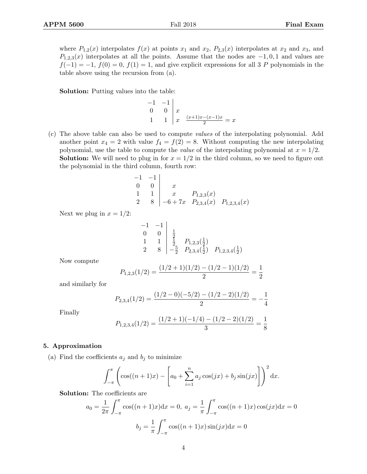where  $P_{1,2}(x)$  interpolates  $f(x)$  at points  $x_1$  and  $x_2$ ,  $P_{2,3}(x)$  interpolates at  $x_2$  and  $x_3$ , and  $P_{1,2,3}(x)$  interpolates at all the points. Assume that the nodes are  $-1,0,1$  and values are  $f(-1) = -1$ ,  $f(0) = 0$ ,  $f(1) = 1$ , and give explicit expressions for all 3 P polynomials in the table above using the recursion from (a).

Solution: Putting values into the table:

−1 −1  $0 \quad 0 \mid x$ 1  $\left| x \right| \left| \frac{(x+1)x-(x-1)x}{2} \right| = x$ 

(c) The above table can also be used to compute values of the interpolating polynomial. Add another point  $x_4 = 2$  with value  $f_4 = f(2) = 8$ . Without computing the new interpolating polynomial, use the table to compute the *value* of the interpolating polynomial at  $x = 1/2$ . **Solution:** We will need to plug in for  $x = 1/2$  in the third column, so we need to figure out the polynomial in the third column, fourth row:

$$
\begin{array}{c|cc}\n-1 & -1 & \\
0 & 0 & x \\
1 & 1 & x & P_{1,2,3}(x) \\
2 & 8 & -6 + 7x & P_{2,3,4}(x) & P_{1,2,3,4}(x)\n\end{array}
$$

Next we plug in  $x = 1/2$ :

$$
\begin{array}{c|cc}\n-1 & -1 & \\
0 & 0 & \frac{1}{2} \\
1 & 1 & \frac{1}{2} & P_{1,2,3}(\frac{1}{2}) \\
2 & 8 & -\frac{5}{2} & P_{2,3,4}(\frac{1}{2}) & P_{1,2,3,4}(\frac{1}{2})\n\end{array}
$$

Now compute

$$
P_{1,2,3}(1/2) = \frac{(1/2+1)(1/2) - (1/2-1)(1/2)}{2} = \frac{1}{2}
$$

and similarly for

$$
P_{2,3,4}(1/2) = \frac{(1/2 - 0)(-5/2) - (1/2 - 2)(1/2)}{2} = -\frac{1}{4}
$$

Finally

$$
P_{1,2,3,4}(1/2) = \frac{(1/2+1)(-1/4) - (1/2-2)(1/2)}{3} = \frac{1}{8}
$$

## 5. Approximation

(a) Find the coefficients  $a_j$  and  $b_j$  to minimize

$$
\int_{-\pi}^{\pi} \left( \cos((n+1)x) - \left[ a_0 + \sum_{i=1}^{n} a_i \cos(jx) + b_j \sin(jx) \right] \right)^2 dx.
$$

Solution: The coefficients are

$$
a_0 = \frac{1}{2\pi} \int_{-\pi}^{\pi} \cos((n+1)x)dx = 0, \ a_j = \frac{1}{\pi} \int_{-\pi}^{\pi} \cos((n+1)x)\cos(jx)dx = 0
$$

$$
b_j = \frac{1}{\pi} \int_{-\pi}^{\pi} \cos((n+1)x)\sin(jx)dx = 0
$$